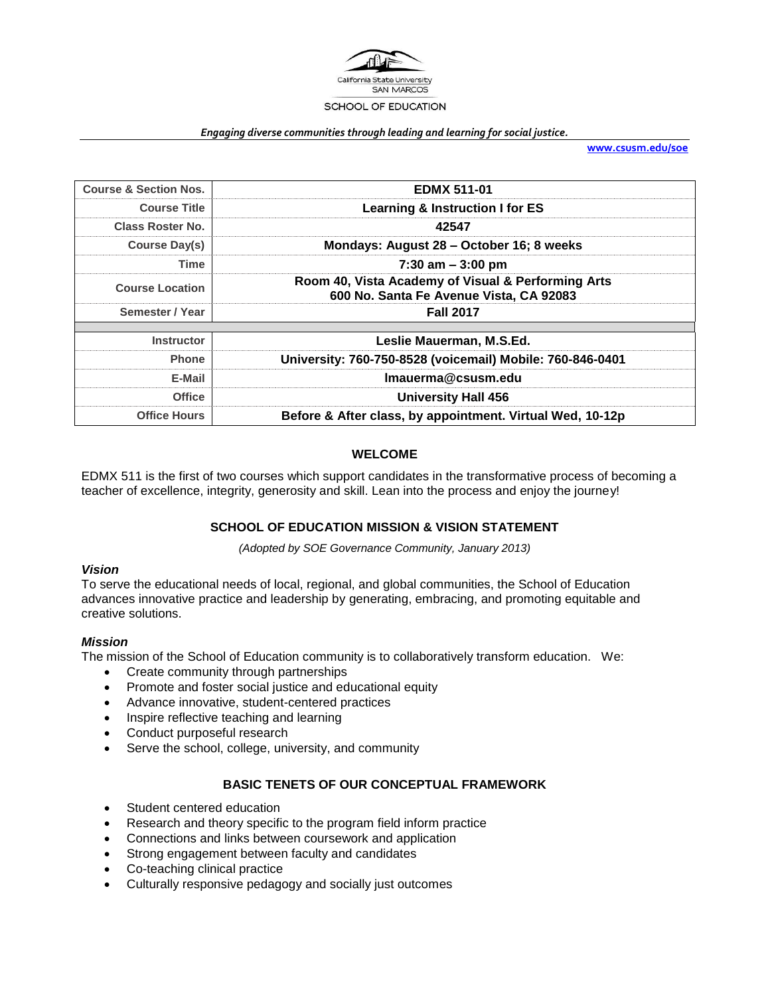

#### *Engaging diverse communities through leading and learning for social justice.*

**[www.csusm.edu/soe](http://www.csusm.edu/soe)**

| <b>Course &amp; Section Nos.</b>            | <b>EDMX 511-01</b>                                                                            |  |  |
|---------------------------------------------|-----------------------------------------------------------------------------------------------|--|--|
| <b>Course Title</b>                         | <b>Learning &amp; Instruction I for ES</b>                                                    |  |  |
| Class Roster No.                            | 42547                                                                                         |  |  |
| <b>Course Day(s)</b>                        | Mondays: August 28 - October 16; 8 weeks                                                      |  |  |
| Time                                        | 7:30 am $-3:00$ pm                                                                            |  |  |
| <b>Course Location</b>                      | Room 40, Vista Academy of Visual & Performing Arts<br>600 No. Santa Fe Avenue Vista, CA 92083 |  |  |
| Semester / Year                             | <b>Fall 2017</b>                                                                              |  |  |
| <b>Instructor</b>                           | Leslie Mauerman, M.S.Ed.                                                                      |  |  |
| <b>Phone</b>                                | University: 760-750-8528 (voicemail) Mobile: 760-846-0401                                     |  |  |
| E-Mail                                      | Imauerma@csusm.edu                                                                            |  |  |
| <b>University Hall 456</b><br><b>Office</b> |                                                                                               |  |  |
| <b>Office Hours</b>                         | Before & After class, by appointment. Virtual Wed, 10-12p                                     |  |  |

#### **WELCOME**

EDMX 511 is the first of two courses which support candidates in the transformative process of becoming a teacher of excellence, integrity, generosity and skill. Lean into the process and enjoy the journey!

#### **SCHOOL OF EDUCATION MISSION & VISION STATEMENT**

*(Adopted by SOE Governance Community, January 2013)*

#### *Vision*

To serve the educational needs of local, regional, and global communities, the School of Education advances innovative practice and leadership by generating, embracing, and promoting equitable and creative solutions.

#### *Mission*

The mission of the School of Education community is to collaboratively transform education. We:

- Create community through partnerships
- Promote and foster social justice and educational equity
- Advance innovative, student-centered practices
- Inspire reflective teaching and learning
- Conduct purposeful research
- Serve the school, college, university, and community

### **BASIC TENETS OF OUR CONCEPTUAL FRAMEWORK**

- Student centered education
- Research and theory specific to the program field inform practice
- Connections and links between coursework and application
- Strong engagement between faculty and candidates
- Co-teaching clinical practice
- Culturally responsive pedagogy and socially just outcomes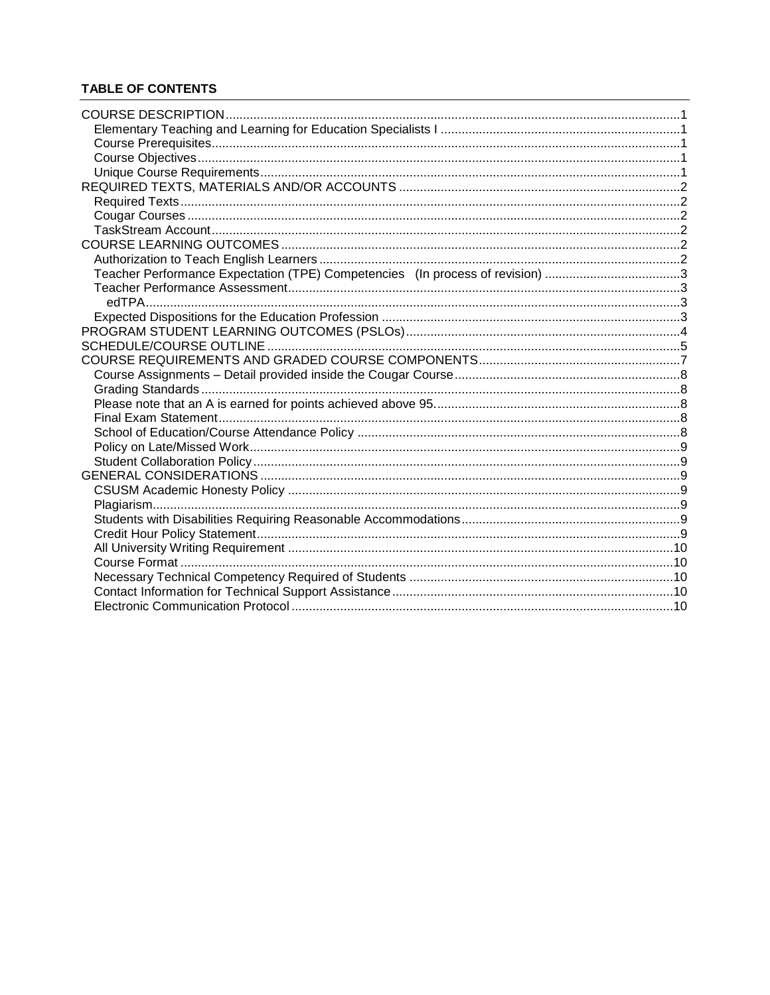# **TABLE OF CONTENTS**

| Teacher Performance Expectation (TPE) Competencies (In process of revision) 3 |  |
|-------------------------------------------------------------------------------|--|
|                                                                               |  |
| edTPA                                                                         |  |
|                                                                               |  |
|                                                                               |  |
|                                                                               |  |
|                                                                               |  |
|                                                                               |  |
|                                                                               |  |
|                                                                               |  |
|                                                                               |  |
|                                                                               |  |
|                                                                               |  |
|                                                                               |  |
|                                                                               |  |
|                                                                               |  |
|                                                                               |  |
|                                                                               |  |
|                                                                               |  |
|                                                                               |  |
|                                                                               |  |
|                                                                               |  |
|                                                                               |  |
|                                                                               |  |
|                                                                               |  |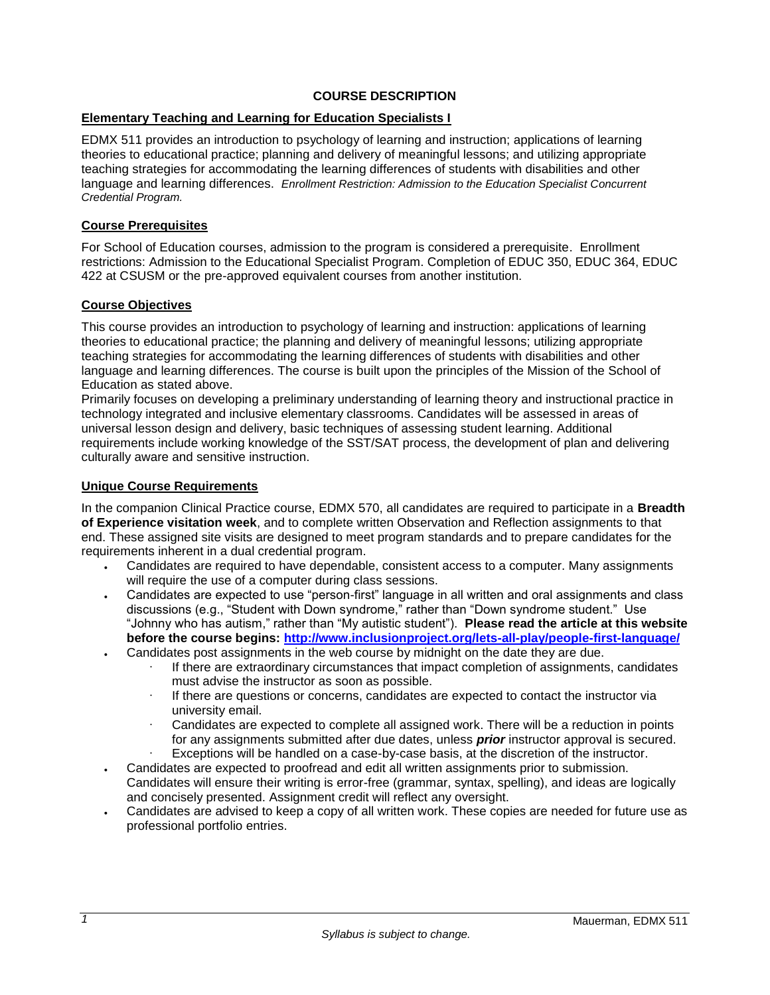### **COURSE DESCRIPTION**

# <span id="page-2-1"></span><span id="page-2-0"></span>**Elementary Teaching and Learning for Education Specialists I**

EDMX 511 provides an introduction to psychology of learning and instruction; applications of learning theories to educational practice; planning and delivery of meaningful lessons; and utilizing appropriate teaching strategies for accommodating the learning differences of students with disabilities and other language and learning differences. *Enrollment Restriction: Admission to the Education Specialist Concurrent Credential Program.* 

#### <span id="page-2-2"></span>**Course Prerequisites**

For School of Education courses, admission to the program is considered a prerequisite. Enrollment restrictions: Admission to the Educational Specialist Program. Completion of EDUC 350, EDUC 364, EDUC 422 at CSUSM or the pre-approved equivalent courses from another institution.

### <span id="page-2-3"></span>**Course Objectives**

This course provides an introduction to psychology of learning and instruction: applications of learning theories to educational practice; the planning and delivery of meaningful lessons; utilizing appropriate teaching strategies for accommodating the learning differences of students with disabilities and other language and learning differences. The course is built upon the principles of the Mission of the School of Education as stated above.

Primarily focuses on developing a preliminary understanding of learning theory and instructional practice in technology integrated and inclusive elementary classrooms. Candidates will be assessed in areas of universal lesson design and delivery, basic techniques of assessing student learning. Additional requirements include working knowledge of the SST/SAT process, the development of plan and delivering culturally aware and sensitive instruction.

#### <span id="page-2-4"></span>**Unique Course Requirements**

In the companion Clinical Practice course, EDMX 570, all candidates are required to participate in a **Breadth of Experience visitation week**, and to complete written Observation and Reflection assignments to that end. These assigned site visits are designed to meet program standards and to prepare candidates for the requirements inherent in a dual credential program.

- Candidates are required to have dependable, consistent access to a computer. Many assignments will require the use of a computer during class sessions.
- Candidates are expected to use "person-first" language in all written and oral assignments and class discussions (e.g., "Student with Down syndrome," rather than "Down syndrome student." Use "Johnny who has autism," rather than "My autistic student"). **Please read the article at this website before the course begins:<http://www.inclusionproject.org/lets-all-play/people-first-language/>**
- Candidates post assignments in the web course by midnight on the date they are due.
	- If there are extraordinary circumstances that impact completion of assignments, candidates must advise the instructor as soon as possible.
	- $\cdot$  If there are questions or concerns, candidates are expected to contact the instructor via university email.
	- Candidates are expected to complete all assigned work. There will be a reduction in points for any assignments submitted after due dates, unless *prior* instructor approval is secured.
	- Exceptions will be handled on a case-by-case basis, at the discretion of the instructor.
- Candidates are expected to proofread and edit all written assignments prior to submission. Candidates will ensure their writing is error-free (grammar, syntax, spelling), and ideas are logically and concisely presented. Assignment credit will reflect any oversight.
- Candidates are advised to keep a copy of all written work. These copies are needed for future use as professional portfolio entries.

*1*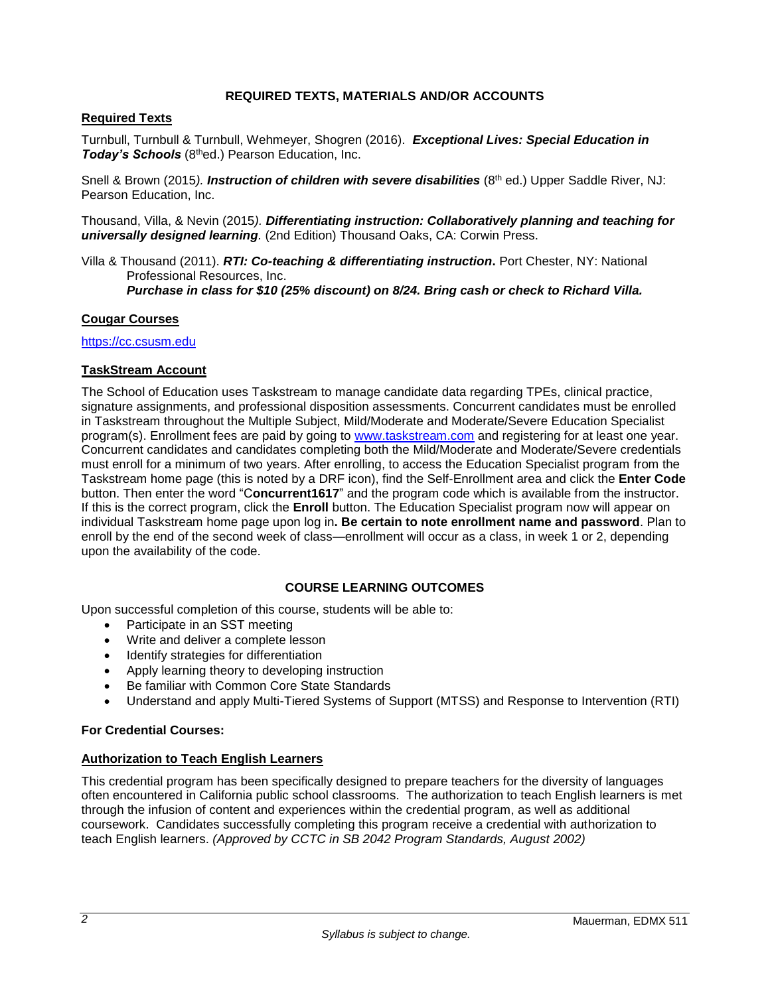### **REQUIRED TEXTS, MATERIALS AND/OR ACCOUNTS**

### <span id="page-3-1"></span><span id="page-3-0"></span>**Required Texts**

Turnbull, Turnbull & Turnbull, Wehmeyer, Shogren (2016). *Exceptional Lives: Special Education in Today's Schools* (8thed.) Pearson Education, Inc.

Snell & Brown (2015). *Instruction of children with severe disabilities* (8<sup>th</sup> ed.) Upper Saddle River, NJ: Pearson Education, Inc.

Thousand, Villa, & Nevin (2015*). Differentiating instruction: Collaboratively planning and teaching for universally designed learning.* (2nd Edition) Thousand Oaks, CA: Corwin Press.

Villa & Thousand (2011). *RTI: Co-teaching & differentiating instruction***.** Port Chester, NY: National Professional Resources, Inc. *Purchase in class for \$10 (25% discount) on 8/24. Bring cash or check to Richard Villa.*

#### <span id="page-3-2"></span>**Cougar Courses**

[https://cc.csusm.edu](https://cc.csusm.edu/)

#### <span id="page-3-3"></span>**TaskStream Account**

The School of Education uses Taskstream to manage candidate data regarding TPEs, clinical practice, signature assignments, and professional disposition assessments. Concurrent candidates must be enrolled in Taskstream throughout the Multiple Subject, Mild/Moderate and Moderate/Severe Education Specialist program(s). Enrollment fees are paid by going to [www.taskstream.com](https://copilot.csusm.edu/owa/redir.aspx?C=JQGRF98_YUaQtaUmRLCQfVWnwmJwxs9IDInTVMhk81xWIUA7hRT2uY6jlnFWAAXDSUJtKsld_Qs.&URL=http%3a%2f%2fwww.taskstrem.com) and registering for at least one year. Concurrent candidates and candidates completing both the Mild/Moderate and Moderate/Severe credentials must enroll for a minimum of two years. After enrolling, to access the Education Specialist program from the Taskstream home page (this is noted by a DRF icon), find the Self-Enrollment area and click the **Enter Code** button. Then enter the word "C**oncurrent1617**" and the program code which is available from the instructor. If this is the correct program, click the **Enroll** button. The Education Specialist program now will appear on individual Taskstream home page upon log in**. Be certain to note enrollment name and password**. Plan to enroll by the end of the second week of class—enrollment will occur as a class, in week 1 or 2, depending upon the availability of the code.

### **COURSE LEARNING OUTCOMES**

<span id="page-3-4"></span>Upon successful completion of this course, students will be able to:

- Participate in an SST meeting
- Write and deliver a complete lesson
- Identify strategies for differentiation
- Apply learning theory to developing instruction
- Be familiar with Common Core State Standards
- Understand and apply Multi-Tiered Systems of Support (MTSS) and Response to Intervention (RTI)

#### **For Credential Courses:**

#### <span id="page-3-5"></span>**Authorization to Teach English Learners**

This credential program has been specifically designed to prepare teachers for the diversity of languages often encountered in California public school classrooms. The authorization to teach English learners is met through the infusion of content and experiences within the credential program, as well as additional coursework. Candidates successfully completing this program receive a credential with authorization to teach English learners. *(Approved by CCTC in SB 2042 Program Standards, August 2002)*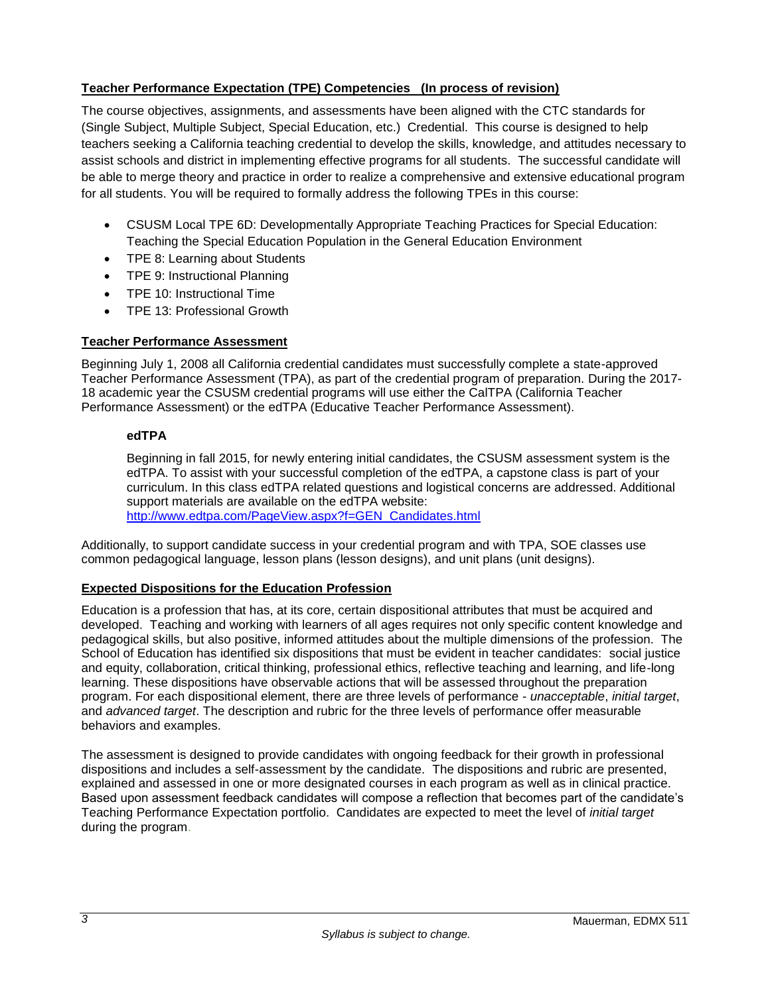# <span id="page-4-0"></span>**Teacher Performance Expectation (TPE) Competencies (In process of revision)**

The course objectives, assignments, and assessments have been aligned with the CTC standards for (Single Subject, Multiple Subject, Special Education, etc.) Credential. This course is designed to help teachers seeking a California teaching credential to develop the skills, knowledge, and attitudes necessary to assist schools and district in implementing effective programs for all students. The successful candidate will be able to merge theory and practice in order to realize a comprehensive and extensive educational program for all students. You will be required to formally address the following TPEs in this course:

- CSUSM Local TPE 6D: Developmentally Appropriate Teaching Practices for Special Education: Teaching the Special Education Population in the General Education Environment
- TPE 8: Learning about Students
- TPE 9: Instructional Planning
- TPE 10: Instructional Time
- TPE 13: Professional Growth

# <span id="page-4-1"></span>**Teacher Performance Assessment**

Beginning July 1, 2008 all California credential candidates must successfully complete a state-approved Teacher Performance Assessment (TPA), as part of the credential program of preparation. During the 2017- 18 academic year the CSUSM credential programs will use either the CalTPA (California Teacher Performance Assessment) or the edTPA (Educative Teacher Performance Assessment).

# <span id="page-4-2"></span>**edTPA**

Beginning in fall 2015, for newly entering initial candidates, the CSUSM assessment system is the edTPA. To assist with your successful completion of the edTPA, a capstone class is part of your curriculum. In this class edTPA related questions and logistical concerns are addressed. Additional support materials are available on the edTPA website: [http://www.edtpa.com/PageView.aspx?f=GEN\\_Candidates.html](http://www.edtpa.com/PageView.aspx?f=GEN_Candidates.html)

Additionally, to support candidate success in your credential program and with TPA, SOE classes use common pedagogical language, lesson plans (lesson designs), and unit plans (unit designs).

# <span id="page-4-3"></span>**Expected Dispositions for the Education Profession**

Education is a profession that has, at its core, certain dispositional attributes that must be acquired and developed. Teaching and working with learners of all ages requires not only specific content knowledge and pedagogical skills, but also positive, informed attitudes about the multiple dimensions of the profession. The School of Education has identified six dispositions that must be evident in teacher candidates: social justice and equity, collaboration, critical thinking, professional ethics, reflective teaching and learning, and life-long learning. These dispositions have observable actions that will be assessed throughout the preparation program. For each dispositional element, there are three levels of performance - *unacceptable*, *initial target*, and *advanced target*. The description and rubric for the three levels of performance offer measurable behaviors and examples.

The assessment is designed to provide candidates with ongoing feedback for their growth in professional dispositions and includes a self-assessment by the candidate. The dispositions and rubric are presented, explained and assessed in one or more designated courses in each program as well as in clinical practice. Based upon assessment feedback candidates will compose a reflection that becomes part of the candidate's Teaching Performance Expectation portfolio. Candidates are expected to meet the level of *initial target* during the program.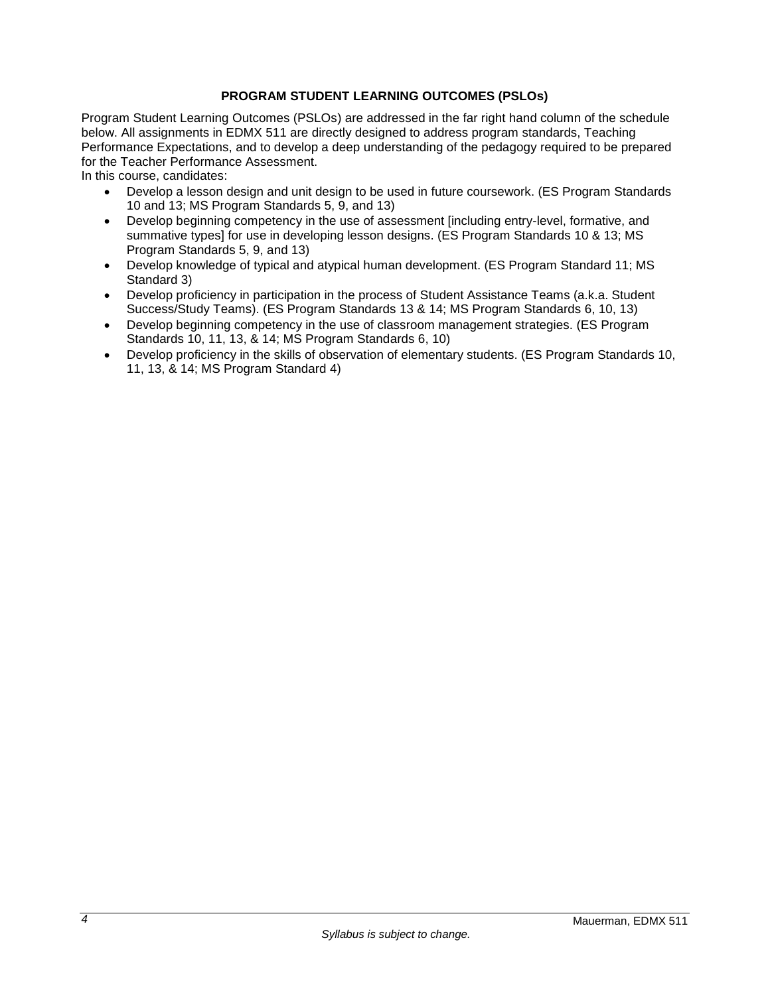# **PROGRAM STUDENT LEARNING OUTCOMES (PSLOs)**

<span id="page-5-0"></span>Program Student Learning Outcomes (PSLOs) are addressed in the far right hand column of the schedule below. All assignments in EDMX 511 are directly designed to address program standards, Teaching Performance Expectations, and to develop a deep understanding of the pedagogy required to be prepared for the Teacher Performance Assessment.

In this course, candidates:

- Develop a lesson design and unit design to be used in future coursework. (ES Program Standards 10 and 13; MS Program Standards 5, 9, and 13)
- Develop beginning competency in the use of assessment [including entry-level, formative, and summative types] for use in developing lesson designs. (ES Program Standards 10 & 13; MS Program Standards 5, 9, and 13)
- Develop knowledge of typical and atypical human development. (ES Program Standard 11; MS Standard 3)
- Develop proficiency in participation in the process of Student Assistance Teams (a.k.a. Student Success/Study Teams). (ES Program Standards 13 & 14; MS Program Standards 6, 10, 13)
- Develop beginning competency in the use of classroom management strategies. (ES Program Standards 10, 11, 13, & 14; MS Program Standards 6, 10)
- Develop proficiency in the skills of observation of elementary students. (ES Program Standards 10, 11, 13, & 14; MS Program Standard 4)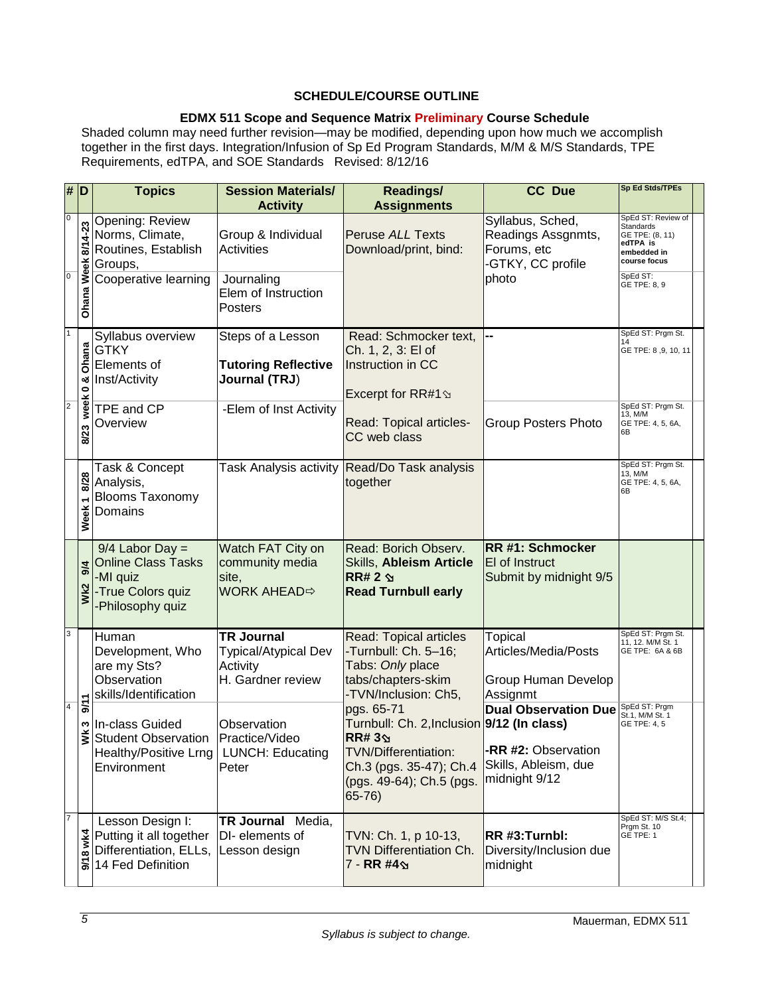# <span id="page-6-0"></span>**SCHEDULE/COURSE OUTLINE**

# **EDMX 511 Scope and Sequence Matrix Preliminary Course Schedule**

Shaded column may need further revision—may be modified, depending upon how much we accomplish together in the first days. Integration/Infusion of Sp Ed Program Standards, M/M & M/S Standards, TPE Requirements, edTPA, and SOE Standards Revised: 8/12/16

| $\overline{\#}$                  | D                             | <b>Topics</b>                                                                                            | <b>Session Materials/</b><br><b>Activity</b>                                                   | <b>Readings/</b><br><b>Assignments</b>                                                                                                                              | <b>CC Due</b>                                                                               | Sp Ed Stds/TPEs                                                                                                           |  |
|----------------------------------|-------------------------------|----------------------------------------------------------------------------------------------------------|------------------------------------------------------------------------------------------------|---------------------------------------------------------------------------------------------------------------------------------------------------------------------|---------------------------------------------------------------------------------------------|---------------------------------------------------------------------------------------------------------------------------|--|
| $\pmb{0}$<br>$\overline{0}$      | 8/14-23<br><b>Ohana Week</b>  | Opening: Review<br>Norms, Climate,<br>Routines, Establish<br>Groups,<br>Cooperative learning             | Group & Individual<br><b>Activities</b><br>Journaling<br>Elem of Instruction<br><b>Posters</b> | <b>Peruse ALL Texts</b><br>Download/print, bind:                                                                                                                    | Syllabus, Sched,<br>Readings Assgnmts,<br>Forums, etc<br>-GTKY, CC profile<br>photo         | SpEd ST: Review of<br>Standards<br>GE TPE: (8, 11)<br>edTPA is<br>embedded in<br>course focus<br>SpEd ST:<br>GE TPE: 8, 9 |  |
| $\overline{1}$<br>$\overline{2}$ | Ohana<br>oð<br>week 0<br>8/23 | Syllabus overview<br><b>GTKY</b><br>Elements of<br>Inst/Activity<br>TPE and CP<br>Overview               | Steps of a Lesson<br><b>Tutoring Reflective</b><br>Journal (TRJ)<br>-Elem of Inst Activity     | Read: Schmocker text,<br>Ch. 1, 2, 3: El of<br>Instruction in CC<br>Excerpt for RR#1 \$<br>Read: Topical articles-<br>CC web class                                  | --<br><b>Group Posters Photo</b>                                                            | SpEd ST: Prgm St.<br>GE TPE: 8, 9, 10, 11<br>SpEd ST: Prgm St.<br>13, M/M<br>GE TPE: 4, 5, 6A,<br>6B                      |  |
|                                  | 8/28<br>Week <sub>1</sub>     | Task & Concept<br>Analysis,<br><b>Blooms Taxonomy</b><br>Domains                                         |                                                                                                | Task Analysis activity Read/Do Task analysis<br>together                                                                                                            |                                                                                             | SpEd ST: Prgm St.<br>13, M/M<br>GE TPE: 4, 5, 6A,<br>6В                                                                   |  |
|                                  | 9/4<br>Wk2                    | $9/4$ Labor Day =<br><b>Online Class Tasks</b><br>-MI quiz<br>-True Colors quiz<br>-Philosophy quiz      | Watch FAT City on<br>community media<br>site,<br><b>WORK AHEAD</b> $⇒$                         | Read: Borich Observ.<br><b>Skills, Ableism Article</b><br>$RR# 2 \,$<br><b>Read Turnbull early</b>                                                                  | <b>RR #1: Schmocker</b><br>El of Instruct<br>Submit by midnight 9/5                         |                                                                                                                           |  |
| $\mathbf{3}$                     |                               | Human<br>Development, Who<br>are my Sts?<br>Observation<br>skills/Identification                         | <b>TR Journal</b><br>Typical/Atypical Dev<br>Activity<br>H. Gardner review                     | Read: Topical articles<br>-Turnbull: Ch. 5-16;<br>Tabs: Only place<br>tabs/chapters-skim<br>-TVN/Inclusion: Ch5,                                                    | <b>Topical</b><br>Articles/Media/Posts<br>Group Human Develop<br>Assignmt                   | SpEd ST: Prgm St.<br>11, 12. M/M St. 1<br>GE TPE: 6A & 6B                                                                 |  |
| $\overline{4}$                   | 5/10<br>w<br>š                | In-class Guided<br><b>Student Observation</b><br>Healthy/Positive Lrng   LUNCH: Educating<br>Environment | Observation<br>Practice/Video<br>Peter                                                         | pgs. 65-71<br>Turnbull: Ch. 2, Inclusion 9/12 (In class)<br><b>RR#3</b><br>TVN/Differentiation:<br>Ch.3 (pgs. 35-47); Ch.4<br>(pgs. 49-64); Ch.5 (pgs.<br>$65 - 76$ | <b>Dual Observation Due</b><br>-RR #2: Observation<br>Skills, Ableism, due<br>midnight 9/12 | SpEd ST: Prgm<br>St.1. M/M St. 1<br>GE TPE: 4, 5                                                                          |  |
| $\overline{7}$                   | wk4<br>$\frac{8}{10}$         | Lesson Design I:<br>Putting it all together<br>Differentiation, ELLs, Lesson design<br>14 Fed Definition | TR Journal Media,<br>DI- elements of                                                           | TVN: Ch. 1, p 10-13,<br><b>TVN Differentiation Ch.</b><br>7 - RR #4 9                                                                                               | RR #3:Turnbl:<br>Diversity/Inclusion due<br>midnight                                        | SpEd ST: M/S St.4;<br>Prgm St. 10<br>GE TPE: 1                                                                            |  |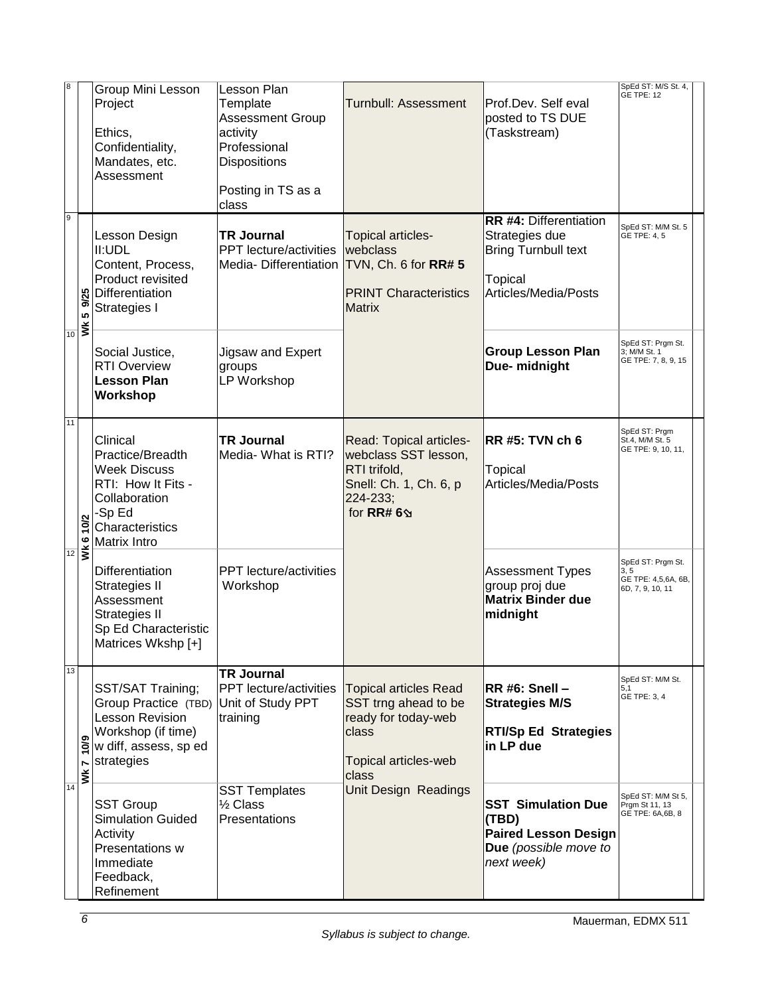| $\boldsymbol{8}$ |                                     | Group Mini Lesson<br>Project<br>Ethics,<br>Confidentiality,<br>Mandates, etc.<br>Assessment                                             | Lesson Plan<br>Template<br><b>Assessment Group</b><br>activity<br>Professional<br><b>Dispositions</b><br>Posting in TS as a<br>class | <b>Turnbull: Assessment</b>                                                                                           | Prof.Dev. Self eval<br>posted to TS DUE<br>(Taskstream)                                                          | SpEd ST: M/S St. 4,<br><b>GE TPE: 12</b>                             |
|------------------|-------------------------------------|-----------------------------------------------------------------------------------------------------------------------------------------|--------------------------------------------------------------------------------------------------------------------------------------|-----------------------------------------------------------------------------------------------------------------------|------------------------------------------------------------------------------------------------------------------|----------------------------------------------------------------------|
| $\mathsf g$      | 9/25<br>မာ<br>$\frac{1}{10}$        | Lesson Design<br>II:UDL<br>Content, Process,<br>Product revisited<br>Differentiation<br>Strategies I                                    | <b>TR Journal</b><br>PPT lecture/activities<br>Media-Differentiation                                                                 | Topical articles-<br>webclass<br>TVN, Ch. 6 for RR# 5<br><b>PRINT Characteristics</b><br><b>Matrix</b>                | <b>RR #4: Differentiation</b><br>Strategies due<br><b>Bring Turnbull text</b><br>Topical<br>Articles/Media/Posts | SpEd ST: M/M St. 5<br>GE TPE: 4, 5                                   |
|                  |                                     | Social Justice,<br><b>RTI Overview</b><br><b>Lesson Plan</b><br>Workshop                                                                | Jigsaw and Expert<br>groups<br>LP Workshop                                                                                           |                                                                                                                       | <b>Group Lesson Plan</b><br>Due- midnight                                                                        | SpEd ST: Prgm St.<br>3; M/M St. 1<br>GE TPE: 7, 8, 9, 15             |
| 11               | 10/2<br>$\bullet$<br>$\frac{1}{12}$ | Clinical<br>Practice/Breadth<br><b>Week Discuss</b><br>RTI: How It Fits -<br>Collaboration<br>-Sp Ed<br>Characteristics<br>Matrix Intro | <b>TR Journal</b><br>Media- What is RTI?                                                                                             | Read: Topical articles-<br>webclass SST lesson,<br>RTI trifold,<br>Snell: Ch. 1, Ch. 6, p<br>224-233;<br>for RR# 69   | <b>RR #5: TVN ch 6</b><br>Topical<br>Articles/Media/Posts                                                        | SpEd ST: Prgm<br>St.4, M/M St. 5<br>GE TPE: 9, 10, 11,               |
|                  |                                     | <b>Differentiation</b><br>Strategies II<br>Assessment<br>Strategies II<br>Sp Ed Characteristic<br>Matrices Wkshp [+]                    | PPT lecture/activities<br>Workshop                                                                                                   |                                                                                                                       | <b>Assessment Types</b><br>group proj due<br><b>Matrix Binder due</b><br>midnight                                | SpEd ST: Prgm St.<br>3, 5<br>GE TPE: 4,5,6A, 6B,<br>6D, 7, 9, 10, 11 |
| 13<br>14         | 10/9<br>Wk7                         | SST/SAT Training;<br>Group Practice (TBD)<br>Lesson Revision<br>Workshop (if time)<br>w diff, assess, sp ed<br>strategies               | <b>TR Journal</b><br>PPT lecture/activities<br>Unit of Study PPT<br>training                                                         | <b>Topical articles Read</b><br>SST trng ahead to be<br>ready for today-web<br>class<br>Topical articles-web<br>class | RR #6: Snell -<br><b>Strategies M/S</b><br><b>RTI/Sp Ed Strategies</b><br>in LP due                              | SpEd ST: M/M St.<br>5,1<br>GE TPE: 3, 4                              |
|                  |                                     | <b>SST Group</b><br><b>Simulation Guided</b><br>Activity<br>Presentations w<br>Immediate<br>Feedback,<br>Refinement                     | <b>SST Templates</b><br>1/2 Class<br>Presentations                                                                                   | <b>Unit Design Readings</b>                                                                                           | <b>SST Simulation Due</b><br>(TBD)<br><b>Paired Lesson Design</b><br>Due (possible move to<br>next week)         | SpEd ST: M/M St 5,<br>Prgm St 11, 13<br>GE TPE: 6A,6B, 8             |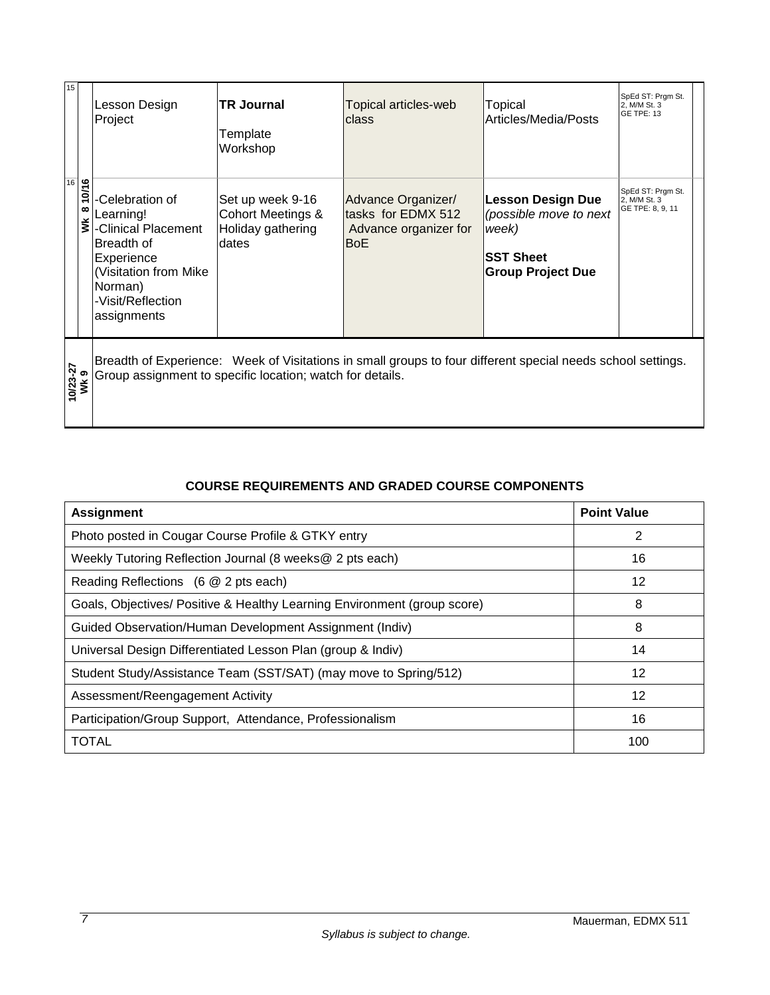| 15               |                        | Lesson Design<br>Project                                                                                                                                                 | <b>TR Journal</b><br>Template<br>Workshop                           | Topical articles-web<br>class                                                   | Topical<br>Articles/Media/Posts                                                                             | SpEd ST: Prgm St.<br>2, M/M St. 3<br><b>GE TPE: 13</b> |  |
|------------------|------------------------|--------------------------------------------------------------------------------------------------------------------------------------------------------------------------|---------------------------------------------------------------------|---------------------------------------------------------------------------------|-------------------------------------------------------------------------------------------------------------|--------------------------------------------------------|--|
| 16               | 10/16<br>$\infty$<br>š | -Celebration of<br>Learning!<br>-Clinical Placement<br>Breadth of<br>Experience<br>(Visitation from Mike<br>Norman)<br>-Visit/Reflection<br>assignments                  | Set up week 9-16<br>Cohort Meetings &<br>Holiday gathering<br>dates | Advance Organizer/<br>tasks for EDMX 512<br>Advance organizer for<br><b>BoE</b> | <b>Lesson Design Due</b><br>(possible move to next<br>week)<br><b>SST Sheet</b><br><b>Group Project Due</b> | SpEd ST: Prgm St.<br>2, M/M St. 3<br>GE TPE: 8, 9, 11  |  |
| 10/23-27<br>WK 9 |                        | Breadth of Experience: Week of Visitations in small groups to four different special needs school settings.<br>Group assignment to specific location; watch for details. |                                                                     |                                                                                 |                                                                                                             |                                                        |  |

# **COURSE REQUIREMENTS AND GRADED COURSE COMPONENTS**

<span id="page-8-0"></span>

| <b>Assignment</b>                                                        | <b>Point Value</b> |
|--------------------------------------------------------------------------|--------------------|
| Photo posted in Cougar Course Profile & GTKY entry                       | 2                  |
| Weekly Tutoring Reflection Journal (8 weeks@ 2 pts each)                 | 16                 |
| Reading Reflections (6 @ 2 pts each)                                     | $12 \,$            |
| Goals, Objectives/ Positive & Healthy Learning Environment (group score) | 8                  |
| Guided Observation/Human Development Assignment (Indiv)                  | 8                  |
| Universal Design Differentiated Lesson Plan (group & Indiv)              | 14                 |
| Student Study/Assistance Team (SST/SAT) (may move to Spring/512)         | $12 \,$            |
| Assessment/Reengagement Activity                                         | $12 \,$            |
| Participation/Group Support, Attendance, Professionalism                 | 16                 |
| <b>TOTAL</b>                                                             | 100                |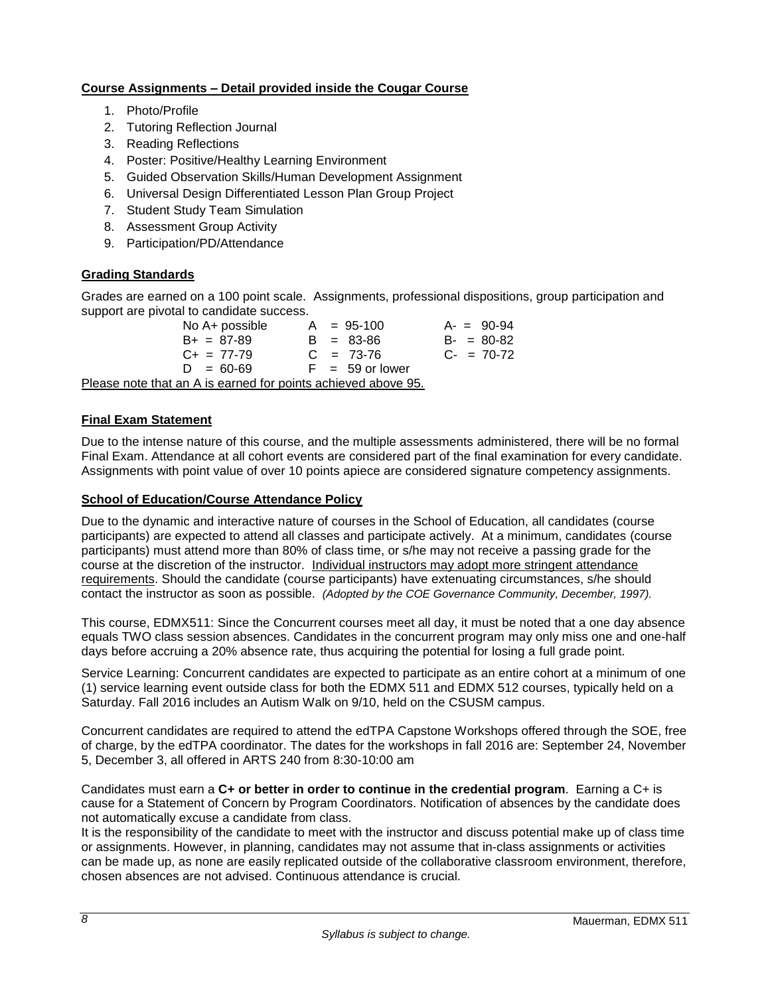# <span id="page-9-0"></span>**Course Assignments – Detail provided inside the Cougar Course**

- 1. Photo/Profile
- 2. Tutoring Reflection Journal
- 3. Reading Reflections
- 4. Poster: Positive/Healthy Learning Environment
- 5. Guided Observation Skills/Human Development Assignment
- 6. Universal Design Differentiated Lesson Plan Group Project
- 7. Student Study Team Simulation
- 8. Assessment Group Activity
- 9. Participation/PD/Attendance

# <span id="page-9-1"></span>**Grading Standards**

Grades are earned on a 100 point scale. Assignments, professional dispositions, group participation and support are pivotal to candidate success.

No  $A + \text{possible}$   $A = 95-100$   $A - \text{false}$  90-94  $B+ = 87-89$   $B = 83-86$   $B- = 80-82$ <br>  $C+ = 77-79$   $C = 73-76$   $C- = 70-72$  $C_+ = 77-79$   $C = 73-76$  $D = 60-69$  F = 59 or lower Please note that an A is earned for points achieved above 95.

### <span id="page-9-3"></span><span id="page-9-2"></span>**Final Exam Statement**

Due to the intense nature of this course, and the multiple assessments administered, there will be no formal Final Exam. Attendance at all cohort events are considered part of the final examination for every candidate. Assignments with point value of over 10 points apiece are considered signature competency assignments.

#### <span id="page-9-4"></span>**School of Education/Course Attendance Policy**

Due to the dynamic and interactive nature of courses in the School of Education, all candidates (course participants) are expected to attend all classes and participate actively. At a minimum, candidates (course participants) must attend more than 80% of class time, or s/he may not receive a passing grade for the course at the discretion of the instructor. Individual instructors may adopt more stringent attendance requirements. Should the candidate (course participants) have extenuating circumstances, s/he should contact the instructor as soon as possible. *(Adopted by the COE Governance Community, December, 1997).*

This course, EDMX511: Since the Concurrent courses meet all day, it must be noted that a one day absence equals TWO class session absences. Candidates in the concurrent program may only miss one and one-half days before accruing a 20% absence rate, thus acquiring the potential for losing a full grade point.

Service Learning: Concurrent candidates are expected to participate as an entire cohort at a minimum of one (1) service learning event outside class for both the EDMX 511 and EDMX 512 courses, typically held on a Saturday. Fall 2016 includes an Autism Walk on 9/10, held on the CSUSM campus.

Concurrent candidates are required to attend the edTPA Capstone Workshops offered through the SOE, free of charge, by the edTPA coordinator. The dates for the workshops in fall 2016 are: September 24, November 5, December 3, all offered in ARTS 240 from 8:30-10:00 am

Candidates must earn a **C+ or better in order to continue in the credential program**. Earning a C+ is cause for a Statement of Concern by Program Coordinators. Notification of absences by the candidate does not automatically excuse a candidate from class.

It is the responsibility of the candidate to meet with the instructor and discuss potential make up of class time or assignments. However, in planning, candidates may not assume that in-class assignments or activities can be made up, as none are easily replicated outside of the collaborative classroom environment, therefore, chosen absences are not advised. Continuous attendance is crucial.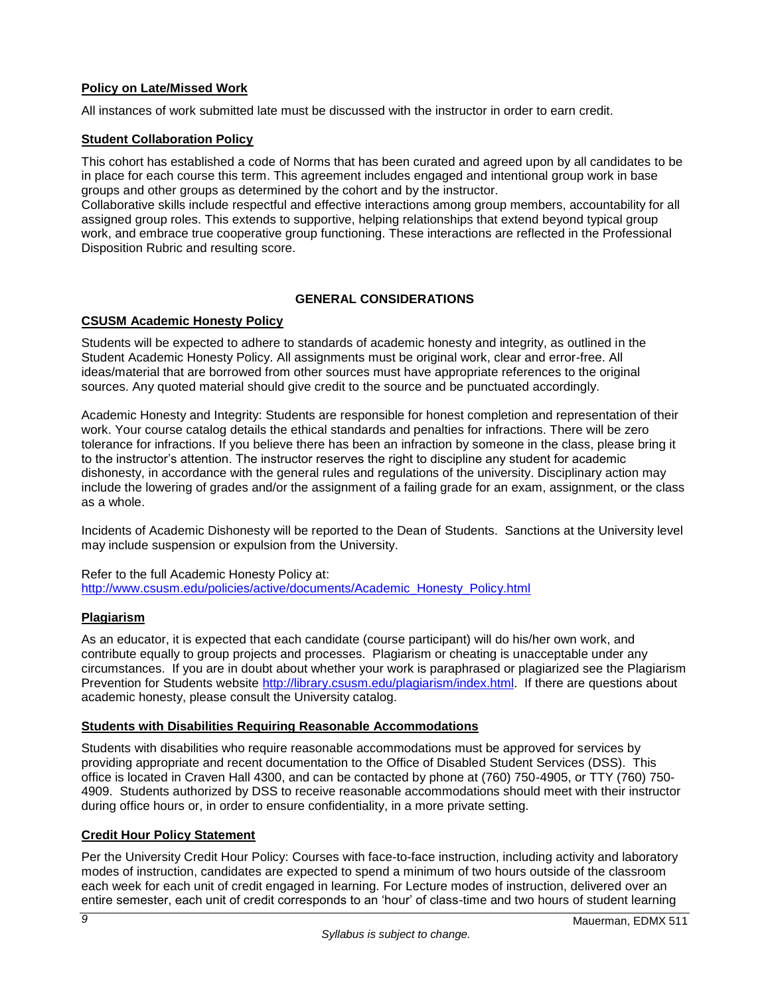# <span id="page-10-0"></span>**Policy on Late/Missed Work**

All instances of work submitted late must be discussed with the instructor in order to earn credit.

### <span id="page-10-1"></span>**Student Collaboration Policy**

This cohort has established a code of Norms that has been curated and agreed upon by all candidates to be in place for each course this term. This agreement includes engaged and intentional group work in base groups and other groups as determined by the cohort and by the instructor.

Collaborative skills include respectful and effective interactions among group members, accountability for all assigned group roles. This extends to supportive, helping relationships that extend beyond typical group work, and embrace true cooperative group functioning. These interactions are reflected in the Professional Disposition Rubric and resulting score.

### **GENERAL CONSIDERATIONS**

### <span id="page-10-3"></span><span id="page-10-2"></span>**CSUSM Academic Honesty Policy**

Students will be expected to adhere to standards of academic honesty and integrity, as outlined in the Student Academic Honesty Policy. All assignments must be original work, clear and error-free. All ideas/material that are borrowed from other sources must have appropriate references to the original sources. Any quoted material should give credit to the source and be punctuated accordingly.

Academic Honesty and Integrity: Students are responsible for honest completion and representation of their work. Your course catalog details the ethical standards and penalties for infractions. There will be zero tolerance for infractions. If you believe there has been an infraction by someone in the class, please bring it to the instructor's attention. The instructor reserves the right to discipline any student for academic dishonesty, in accordance with the general rules and regulations of the university. Disciplinary action may include the lowering of grades and/or the assignment of a failing grade for an exam, assignment, or the class as a whole.

Incidents of Academic Dishonesty will be reported to the Dean of Students. Sanctions at the University level may include suspension or expulsion from the University.

Refer to the full Academic Honesty Policy at: [http://www.csusm.edu/policies/active/documents/Academic\\_Honesty\\_Policy.html](http://www.csusm.edu/policies/active/documents/Academic_Honesty_Policy.html)

### <span id="page-10-4"></span>**Plagiarism**

As an educator, it is expected that each candidate (course participant) will do his/her own work, and contribute equally to group projects and processes. Plagiarism or cheating is unacceptable under any circumstances. If you are in doubt about whether your work is paraphrased or plagiarized see the Plagiarism Prevention for Students website [http://library.csusm.edu/plagiarism/index.html.](http://library.csusm.edu/plagiarism/index.html) If there are questions about academic honesty, please consult the University catalog.

### <span id="page-10-5"></span>**Students with Disabilities Requiring Reasonable Accommodations**

Students with disabilities who require reasonable accommodations must be approved for services by providing appropriate and recent documentation to the Office of Disabled Student Services (DSS). This office is located in Craven Hall 4300, and can be contacted by phone at (760) 750-4905, or TTY (760) 750- 4909. Students authorized by DSS to receive reasonable accommodations should meet with their instructor during office hours or, in order to ensure confidentiality, in a more private setting.

# <span id="page-10-6"></span>**Credit Hour Policy Statement**

Per the University Credit Hour Policy: Courses with face-to-face instruction, including activity and laboratory modes of instruction, candidates are expected to spend a minimum of two hours outside of the classroom each week for each unit of credit engaged in learning. For Lecture modes of instruction, delivered over an entire semester, each unit of credit corresponds to an 'hour' of class-time and two hours of student learning